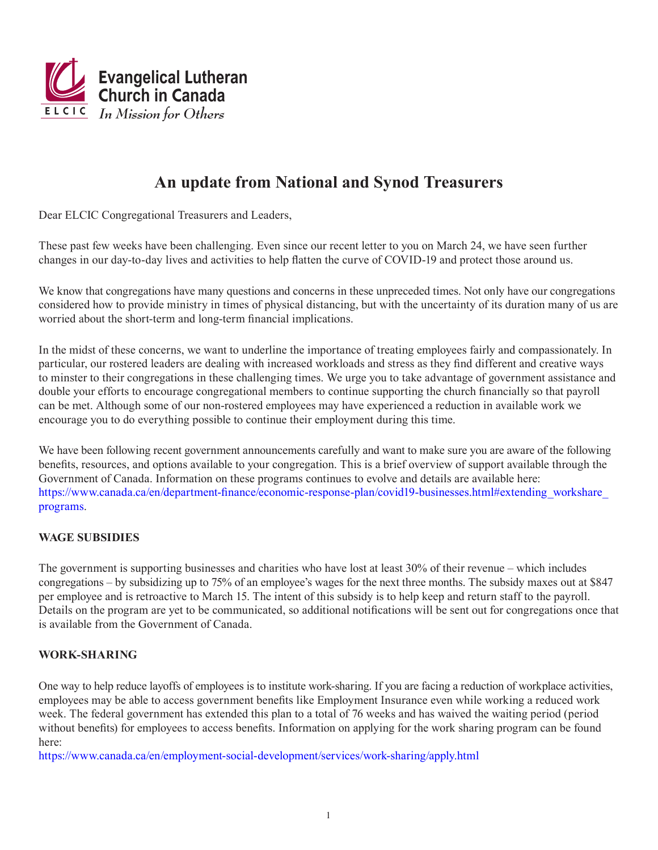

# **An update from National and Synod Treasurers**

Dear ELCIC Congregational Treasurers and Leaders,

These past few weeks have been challenging. Even since our recent letter to you on March 24, we have seen further changes in our day-to-day lives and activities to help flatten the curve of COVID-19 and protect those around us.

We know that congregations have many questions and concerns in these unpreceded times. Not only have our congregations considered how to provide ministry in times of physical distancing, but with the uncertainty of its duration many of us are worried about the short-term and long-term financial implications.

In the midst of these concerns, we want to underline the importance of treating employees fairly and compassionately. In particular, our rostered leaders are dealing with increased workloads and stress as they find different and creative ways to minster to their congregations in these challenging times. We urge you to take advantage of government assistance and double your efforts to encourage congregational members to continue supporting the church financially so that payroll can be met. Although some of our non-rostered employees may have experienced a reduction in available work we encourage you to do everything possible to continue their employment during this time.

We have been following recent government announcements carefully and want to make sure you are aware of the following benefits, resources, and options available to your congregation. This is a brief overview of support available through the Government of Canada. Information on these programs continues to evolve and details are available here: https://www.canada.ca/en/department-finance/economic-response-plan/covid19-businesses.html#extending\_workshare [programs](https://www.canada.ca/en/department-finance/economic-response-plan/covid19-businesses.html#extending_workshare_programs).

## **WAGE SUBSIDIES**

The government is supporting businesses and charities who have lost at least 30% of their revenue – which includes congregations – by subsidizing up to 75% of an employee's wages for the next three months. The subsidy maxes out at \$847 per employee and is retroactive to March 15. The intent of this subsidy is to help keep and return staff to the payroll. Details on the program are yet to be communicated, so additional notifications will be sent out for congregations once that is available from the Government of Canada.

#### **WORK-SHARING**

One way to help reduce layoffs of employees is to institute work-sharing. If you are facing a reduction of workplace activities, employees may be able to access government benefits like Employment Insurance even while working a reduced work week. The federal government has extended this plan to a total of 76 weeks and has waived the waiting period (period without benefits) for employees to access benefits. Information on applying for the work sharing program can be found here:

<https://www.canada.ca/en/employment-social-development/services/work-sharing/apply.html>